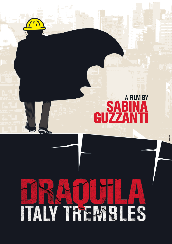# **a film by SABINA** GUZZANTI

# IV TREMBLES **第六章 医** Ą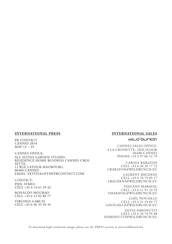#### **international press**

PR CONTACT CANNES 2010 MAY 12 – 23

CANNES OFFICE: All Suites Garden Studio, Residence Home Business Cannes Croi-SETTE, 12 rue Latour Maubourg, 06400 Cannes Email: festival@theprcontact.com

CONTACT: Phil SYMES CELL +33 6 14 61 29 42

Ronaldo MOURAO CELL +33 6 12 02 80 77

Virginia GARCIA CELL +33 6 46 35 94 34

#### **international sales**

#### wild bunch

CANNES SALES OFFICE: 4 La Croisette, 2nd floor 06400 cannes Phone +33 4 97 06 52 79

Carole Baraton CELL +33 6 20 36 77 72 cbaraton@wildbunch.eu

Laurent Baudens CELL +33 6 70 79 05 17 lbaudens@wildbunch.eu

Vincent Maraval CELL +33 6 11 91 23 93 vmaraval@wildbunch.eu

Gaël Nouaille CELL +33 6 21 23 04 72 gnouaille@wildbunch.eu

SILVIA SIMONUTTI CELL +33 6 20 74 95 08 ssimonutti@wil.dbunch.eu

To download high resolution images please see the PRESS section at www.wildbunch.biz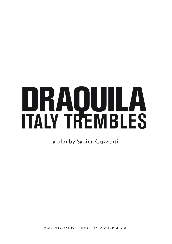# DRAQUILA<br>ITALY TREMBLES

a film by Sabina Guzzanti

ITALY 2010 - 97 MIN - COLOR - 1,85- 35 MM - DOLBY SR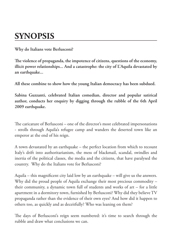## **SYNOPSIS**

**Why do Italians vote Berlusconi?** 

**The violence of propaganda, the impotence of citizens, questions of the economy, illicit power relationships... And a catastrophe: the city of L'Aquila devastated by an earthquake...** 

**All these combine to show how the young Italian democracy has been subdued.** 

**Sabina Guzzanti, celebrated Italian comedian, director and popular satirical author, conducts her enquiry by digging through the rubble of the 6th April 2009 earthquake.**

The caricature of Berlusconi – one of the director's most celebrated impersonations - strolls through Aquila's refugee camp and wanders the deserted town like an emperor at the end of his reign.

A town devastated by an earthquake – the perfect location from which to recount Italy's drift into authoritarianism, the mess of blackmail, scandal, swindles and inertia of the political classes, the media and the citizens, that have paralysed the country. Why do the Italians vote for Berlusconi?

Aquila – this magnificent city laid low by an earthquake – will give us the answers. Why did the proud people of Aquila exchange their most precious commodity – their community, a dynamic town full of students and works of art – for a little apartment in a dormitory town, furnished by Berlusconi? Why did they believe TV propaganda rather than the evidence of their own eyes? And how did it happen to others too, as quickly and as deceitfully? Who was leaning on them?

The days of Berlusconi's reign seem numbered: it's time to search through the rubble and draw what conclusions we can.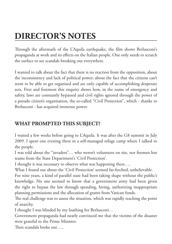# **DIRECTOR'S NOTES**

Through the aftermath of the L'Aquila earthquake, the film shows Berlusconi's propaganda at work and its effects on the Italian people. One only needs to scratch the surface to see scandals breaking out everywhere.

I wanted to talk about the fact that there is no reaction from the opposition, about the inconsistency and lack of political power; about the fact that the citizens can't seem to be able to get organised and are only capable of accomplishing desperate acts. First and foremost this enquiry shows how, in the name of emergency and safety, laws are constantly bypassed and civil rights ignored through the power of a pseudo citizen's organisation, the so-called "Civil Protection", which - thanks to Berlusconi - has acquired immense power.

#### **WHAT PROMPTED THIS SUBJECT?**

I waited a few weeks before going to L'Aquila. It was after the G8 summit in July 2009. I spent one evening there in a self-managed refuge camp where I talked to the people.

I was told about the "invaders"… who weren't volunteers on site, nor firemen but teams from the State Department's 'Civil Protection'.

I thought it was necessary to observe what was happening there….

What I found out about the 'Civil Protection' seemed far-fetched, unbelievable.

For nine years, a kind of parallel state had been taking shape without the public's knowledge. No one seemed to know that a government army had been given the right to bypass the law through spending, hiring, authorizing inappropriate planning permissions and the allocation of grants from Vatican funds.

The real challenge was to assess the situation, which was rapidly reaching the point of anarchy.

I thought I was blinded by my loathing for Berlusconi…

Government propaganda had nearly convinced me that the victims of the disaster were grateful to the Prime Minister.

Then scandals broke out…..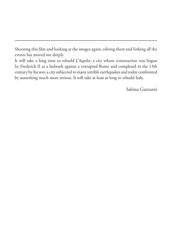Shooting this film and looking at the images again, editing them and linking all the events has moved me deeply

It will take a long time to rebuild L'Aquila: a city whose construction was begun by Frederick II as a bulwark against a corrupted Rome and completed in the 13th century by his son; a city subjected to many terrible earthquakes and today confronted by something much more serious. It will take at least as long to rebuild Italy.

Sabina Guzzanti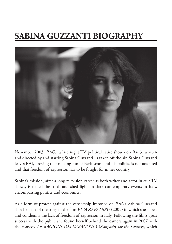## **SABINA GUZZANTI BIOGRAPHY**



November 2003: *RaiOt*, a late night TV political satire shown on Rai 3, written and directed by and starring Sabina Guzzanti, is taken off the air. Sabina Guzzanti leaves RAI, proving that making fun of Berlusconi and his politics is not accepted and that freedom of expression has to be fought for in her country.

Sabina's mission, after a long television career as both writer and actor in cult TV shows, is to tell the truth and shed light on dark contemporary events in Italy, encompassing politics and economics.

As a form of protest against the censorship imposed on *RaiOt*, Sabina Guzzanti shot her side of the story in the film *Viva Zapatero* (2005) in which she shows and condemns the lack of freedom of expression in Italy. Following the film's great success with the public she found herself behind the camera again in 2007 with the comedy *Le Ragioni dell'Aragosta* (*Sympathy for the Lobster*), which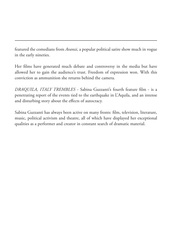featured the comedians from *Avanzi*, a popular political satire show much in vogue in the early nineties.

Her films have generated much debate and controversy in the media but have allowed her to gain the audience's trust. Freedom of expression won. With this conviction as ammunition she returns behind the camera.

*DRAQUILA, ITALY TREMBLES* - Sabina Guzzanti's fourth feature film - is a penetrating report of the events tied to the earthquake in L'Aquila, and an intense and disturbing story about the effects of autocracy.

Sabina Guzzanti has always been active on many fronts: film, television, literature, music, political activism and theatre, all of which have displayed her exceptional qualities as a performer and creator in constant search of dramatic material.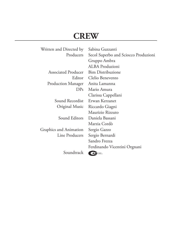### **Crew**

| Written and Directed by    | Sabina Guzzanti                      |
|----------------------------|--------------------------------------|
| Producers                  | Secol Superbo and Sciocco Produzioni |
|                            | Gruppo Ambra                         |
|                            | ALBA Produzioni                      |
| <b>Associated Producer</b> | <b>Bim Distribuzione</b>             |
| Editor                     | Clelio Benevento                     |
| Production Manager         | Anita Lamanna                        |
| DPs                        | Mario Amura                          |
|                            | Clarissa Cappellani                  |
| Sound Recordist            | Erwan Kerzanet                       |
| Original Music             | Riccardo Giagni                      |
|                            | Maurizio Rizzuto                     |
| Sound Editors              | Daniela Bassani                      |
|                            | Marzia Cordò                         |
| Graphics and Animation     | Sergio Gazzo                         |
| Line Producers             | Sergio Bernardi                      |
|                            | Sandro Frezza                        |
|                            | Ferdinando Vicentini Orgnani         |
| Soundtrack                 | <b>AM</b>                            |
|                            |                                      |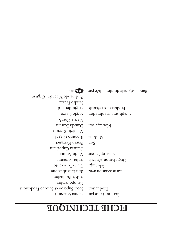# **ELCHE LECHAIONE**

Sabina Guzzanti Secol Superbo et Sciocco Produzioni Gruppo Ambra BA Produzioni LA Bim Distribuzione Clelio Benevento Anita Lamanna Mario Amura Clarissa Cappellani Erwan Kerzanet Riccardo Giagni Maurizio Rizzuto Daniela Bassani Marzia Cordò Sergio Gazzo Sergio Bernardi Sandro Frezza inangi $O$  inina $\sigma$ i $V$  obnanihr $\sigma$ H

Écrit et réalisé par Production

En association avec Montage Organisation générale Chef opérateur

uos  $\mathsf{subisny}$ 

Montage son

Graphisme et animation Producteurs exécutifs

Bande originale du film éditée par

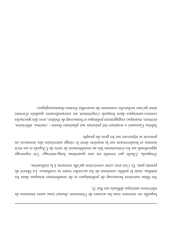laquelle on retrouve tous les acteurs de l'émission Avanzi (une autre émission de télévision satirique diffusée sur Rai 3).

Ses films suscitent beaucoup de polémiques et de nombreuses attaques dans les médias, mais le public continue de lui accorder toute sa confiance. La liberté de pensée paie. Et c'est avec cette conviction qu'elle retourne à la réalisation.

Draquila, L'Italie qui tremble est son quatrième long-métrage. Un reportage approfondi sur les événements liés au tremblement de trer de L'Aquila et un récit intense et bouleversant sur la manière dont le virage autoritaire des instances au pouvoir se répercute sur les gens du peuple.

Sabina Guzzanti a toujours été présente sur plusieurs fronts : cinéma, télévision, écriture, musique, engagement politique et beaucoup de théâtre, avec des spectacles comico-satiriques dans lesquels s'expriment ses extraordinaires qualités d'artiste ainsi qu'une recherche constante de nouvelles formes dramaturgiques.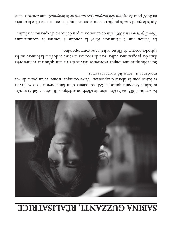# **EQUINA GUZZANTI, RÉALISATRICE**



 (émission de télévision satirique diffusée sur Rai 3) s'arrête *Raiot* Novembre 2003. et Sabina Guzzanti quitte la RAI, consciente d'un fist nouveau : elle va devoir se battre pour la liberté d'expression. Verve comique, ironie, et un point de vue mordant sur l'actualité seront ses armes.

Son rôle, après une longue expérience télévisuelle en tant qu'auteur et interprète dans des programmes cultes, sera de raconter la vérité et de faire la lumière sur les épisodes obscurs de l'histoire italienne contemporaine.

Le bâillon mis à l'émission *Raiot* la conduit à tourner le documentaire en 2005, afin de dénoncer le peu de liberté d'expression en Italie. *! Viva Zapatero*

Après le grand succès public rencontré par ce film, elle retourne derrière la caméra ), une comédie dans *Les raisons de la langouste* ( *Le ragioni dell'aragosta* en 2007 pour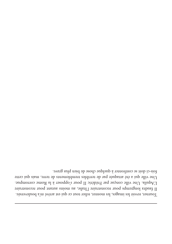Tourner, revoir les images, les monter, relier tout ce qui est arrivé m'a bouleversée. Il faudra longtemps pour reconstruire l'Italie, au moins autant pour reconstruire ne ville conçue par Frédéric II pour s'opposer à la Rome corrompue. U 'Aquila. L Une ville qui a été attaquée par de terribles tremblements de terre, mais qui cette fois-ci doit se confronter à quelque chose de bien plus grave.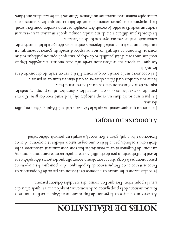# **ALISATION EXAMPLE DE**

A travers une analyse de la gestion de l'après séisme à L'Aquila, ce film montre le fonctionnement de la propagande berlusconienne, jusqu'où elle va, quels effets elle a sur la population. Dès que l'on creuse, des scandales éclatent partout.

Je voulais raconter les causes de l'absence de réaction des partis de l'opposition, de l'inconsistance et de l'impuissance de la politique ; dire pourquoi les citoyens ne parviennent pas à s'organiser et semblent n'accomplir que des gestes désespérés dans le seul but d'obtenir un peu de visibilité. Cette enquête raconte avant tout comment, au nom de l'urgence et de la sécurité, les lois sont constamment détournées et les droits civils bafoués, par le biais d'une organisation soi-disant citoyenne, dite de Protection Civile qui, grâce à Berlusconi, a acquis un pouvoir phénoménal.

#### **y LORIGINE DU PROJET**

J'ai attendu quelques semaines après le G8 avant d'aller à l'Aquila, c'était en juillet dernier.

J'ai passé une soirée dans un camp autogéré où j'ai discuté avec des gens. On m'a parlé des « envahisseurs »… ce ne sont ni les volontaires, ni les pompiers, mais les

équipes de la « Protection civile », du Département d'Etat.

Je me suis dit alors qu'il fallait observer ce qu'il était en train de se passer… J'ai découvert sur le terrain ce que toute l'Italie est en train de découvrir dans

les médias. Ce que j'ai appris sur le Protection civile m'a paru énorme, incroyable. Depuis neuf ans une sorte d'état parallèle se développe sans que l'opinion publique soit au courant. Personne ne sait qu'il existe une espèce d'armée du gouvernement qui est autorisée non pas à tuer, mais à dépenser, embaucher, déroger à la loi, autoriser des constructions abusives, octroyer des fonds au Vatican.

a chose la plus difficile a été de me rendre compte que la situation avait vraiment L atteint un stade d'anarchie. Je croyais être aveuglée par mon aversion pour Berlusconi. a propagande du gouvernement a tenté de faire croire que les victimes de la L catastrophe étaient reconnaissantes au Premier Ministre. Puis les scandales ont éclaté.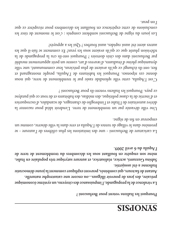# **SISJONAS**

**Pourquoi les Italiens votent pour Berlusconi ?** 

**La virulence de la propagande, l'impuissance des citoyens, un système économique précaire, des jeux de pouvoir illégaux...ou encore une catastrophe naturelle. Autant de facteurs, qui combinés, peuvent expliquer comment la jeune démocratie** 

**Italienne a été assujettie. Sabina Guzzanti, actrice, réalisatrice, et auteure satyrique très populaire en Italie, mène son enquête en fouillant sous les décombres du tremblement de terre de l'Aquila du 6 avril 2009.**

a caricature de Berlusconi - une des imitations les plus célèbres de l'auteure - se L promène dans le village de tentes de l'Aquila et erre dans la ville déserte, comme un empereur en fin de règne.

Une ville dévastée par un tremblement de terre. L'endroit idéal pour raconter la dérive autoritaire de l'Italie et l'imbroglio de chantages, de scandales, d'escroqueries et d'inertie de la classe politique, des médias, des habitants et de tout ce qui paralyse ce pays. Pourquoi les Italiens votent-ils pour Berlusconi ?

C'est l'Aquila, cette ville splendide rasée par le tremblement de terre, qui nous donne ces réponses. Pourquoi les habitants de l'Aquila, peuple montagnard et fier, ont-ils échangé ce qu'ils avaient de plus précieux, leur communauté, une ville dynamique pleine d'étudiants, d'œuvres d'art, contre un petit appartement meublé par Berlusconi dans des cités dortoirs ? Pourquoi ont-ils cru la propagande de la télévision plutôt que ce qu'ils avaient sous les yeux? Et comment se fait-il que les autres aient été aussi rapides, aussi fourbes ? Qui les a appuyés?

es jours du règne de Berlusconi semblent comptés : c'est le moment de tirer les L conclusions de cette expérience en fouillant les décombres pour récupérer ce que l'on peut.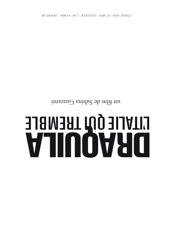# 

un film de Sabina Guzzanti

BY SR LUIT SON 26 - 32 MIN - CONTENE 1,82-32 MW - DOFBA 2K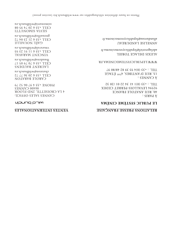#### **SHILES INTERNATIONALES**

#### **MiLU DUNCh**

64 75 90 46 7 8 8 10 Hd 00590 CANNES **A LA CROISETTE, 2ND FLOOR** CVUNES SVIES OFFICE:

cpstston@wildbunch.eu CELL +33 6 20 36 77 72 CAROLE BARATON

lbauenens@wildbuch.eu CELL +33 6 70 79 05 17 LAURENT BAUDENS

wmaraval@wildbunch.eu CELL +33 6 11 91 23 93 *NINCENL WVBVANT* 

gnouaille@wildbunch.eu  $CETT + 3996772$ GAËL NOUAILLE

us.donudbliw@inunomiss CELL +33 6 20 74 95 08 ILLINOMIS VIATIS

#### **RELAINONS PRESE FRAQQUE EXPORT**

#### TE DUBLIC SYSTÈME CINÉMA

TEL. : +33 (0) 1 41 34 22 01 /20 32 92594 FEAVITOI2-LEKKEL CEDEX **40, RUE ANATOLE FRANCE** : 21AAq A

 $\angle 608/8578666660$   $\sqrt{60}83$ 13, RUE D'ANTIBES, 4<sup>EME</sup> ÉTAGE A CANNES:

**MMMTELOBTICZAZLEWECINEWY LK** 

adelagetoriel@lepublicsystemecinema.tr **VIEXIS DELAGE TORIEL** 

allandureau@lepublicsystemecinema.fr **ANNELISE LANDUREAU** 

Photos en haute définition téléchargeables sur www.wildbunch.biz (section presse)